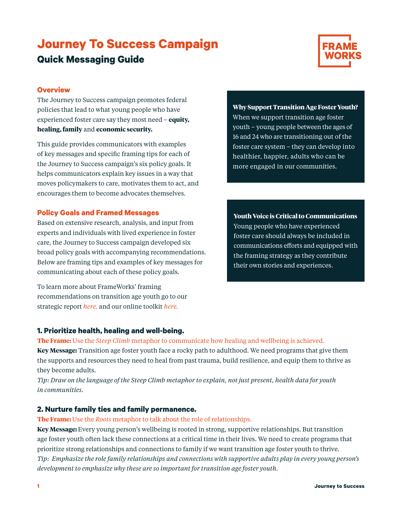# **Journey To Success Campaign Quick Messaging Guide**



## **Overview**

The Journey to Success campaign promotes federal policies that lead to what young people who have experienced foster care say they most need – **equity, healing, family** and **economic security.** 

This guide provides communicators with examples of key messages and specific framing tips for each of the Journey to Success campaign's six policy goals. It helps communicators explain key issues in a way that moves policymakers to care, motivates them to act, and encourages them to become advocates themselves.

## **Policy Goals and Framed Messages**

Based on extensive research, analysis, and input from experts and individuals with lived experience in foster care, the Journey to Success campaign developed six broad policy goals with accompanying recommendations. Below are framing tips and examples of key messages for communicating about each of these policy goals.

To learn more about FrameWorks' framing recommendations on transition age youth go to our strategic report *[here,](https://www.frameworksinstitute.org/publication/advancing-wellbeing-and-expanding-opportunities-reframing-transition-age-foster-youth/)* and our online toolkit *[here.](https://www.frameworksinstitute.org/toolkit/reframing-transition-age-foster-youth/)*

**1. Prioritize health, healing and well-being.**

**The Frame:** Use the *[Steep Climb](https://www.frameworksinstitute.org/wp-content/uploads/2015/07/tay-toolkit-steepclimb-metaphorcard_FINAL.pdf)* metaphor to communicate how healing and wellbeing is achieved.

**Key Message:** Transition age foster youth face a rocky path to adulthood. We need programs that give them the supports and resources they need to heal from past trauma, build resilience, and equip them to thrive as they become adults.

*Tip: Draw on the language of the Steep Climb metaphor to explain, not just present, health data for youth in communities.*

# **2. Nurture family ties and family permanence.**

**The Frame:** Use the *[Roots](https://www.frameworksinstitute.org/wp-content/uploads/2020/05/searchinstitute-roots-to-success.pdf)* metaphor to talk about the role of relationships.

**Key Message:** Every young person's wellbeing is rooted in strong, supportive relationships. But transition age foster youth often lack these connections at a critical time in their lives. We need to create programs that prioritize strong relationships and connections to family if we want transition age foster youth to thrive. *Tip: Emphasize the role family relationships and connections with supportive adults play in every young person's development to emphasize why these are so important for transition age foster youth.*

**Why Support Transition Age Foster Youth?**  When we support transition age foster youth – young people between the ages of 16 and 24 who are transitioning out of the foster care system – they can develop into healthier, happier, adults who can be more engaged in our communities.

**Youth Voice is Critical to Communications** Young people who have experienced foster care should always be included in communications efforts and equipped with the framing strategy as they contribute their own stories and experiences.